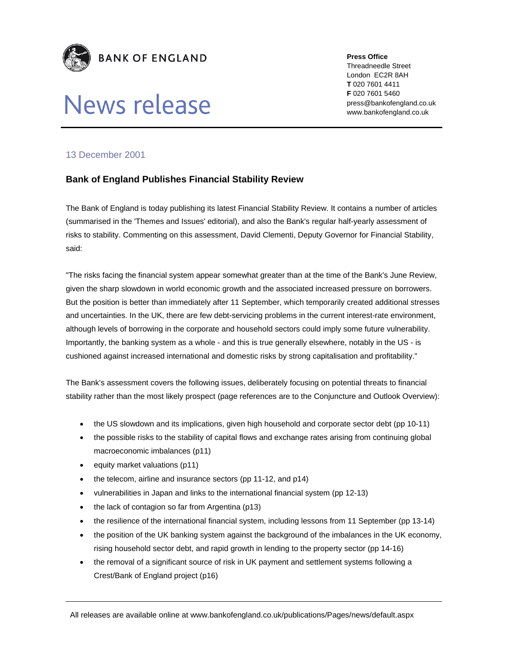

# News release

**Press Office** 

Threadneedle Street London EC2R 8AH **T** 020 7601 4411 **F** 020 7601 5460 press@bankofengland.co.uk www.bankofengland.co.uk

### 13 December 2001

## **Bank of England Publishes Financial Stability Review**

The Bank of England is today publishing its latest Financial Stability Review. It contains a number of articles (summarised in the 'Themes and Issues' editorial), and also the Bank's regular half-yearly assessment of risks to stability. Commenting on this assessment, David Clementi, Deputy Governor for Financial Stability, said:

"The risks facing the financial system appear somewhat greater than at the time of the Bank's June Review, given the sharp slowdown in world economic growth and the associated increased pressure on borrowers. But the position is better than immediately after 11 September, which temporarily created additional stresses and uncertainties. In the UK, there are few debt-servicing problems in the current interest-rate environment, although levels of borrowing in the corporate and household sectors could imply some future vulnerability. Importantly, the banking system as a whole - and this is true generally elsewhere, notably in the US - is cushioned against increased international and domestic risks by strong capitalisation and profitability."

The Bank's assessment covers the following issues, deliberately focusing on potential threats to financial stability rather than the most likely prospect (page references are to the Conjuncture and Outlook Overview):

- the US slowdown and its implications, given high household and corporate sector debt (pp 10-11)
- the possible risks to the stability of capital flows and exchange rates arising from continuing global macroeconomic imbalances (p11)
- equity market valuations (p11)
- the telecom, airline and insurance sectors (pp 11-12, and p14)
- vulnerabilities in Japan and links to the international financial system (pp 12-13)
- the lack of contagion so far from Argentina (p13)
- the resilience of the international financial system, including lessons from 11 September (pp 13-14)
- the position of the UK banking system against the background of the imbalances in the UK economy, rising household sector debt, and rapid growth in lending to the property sector (pp 14-16)
- the removal of a significant source of risk in UK payment and settlement systems following a Crest/Bank of England project (p16)